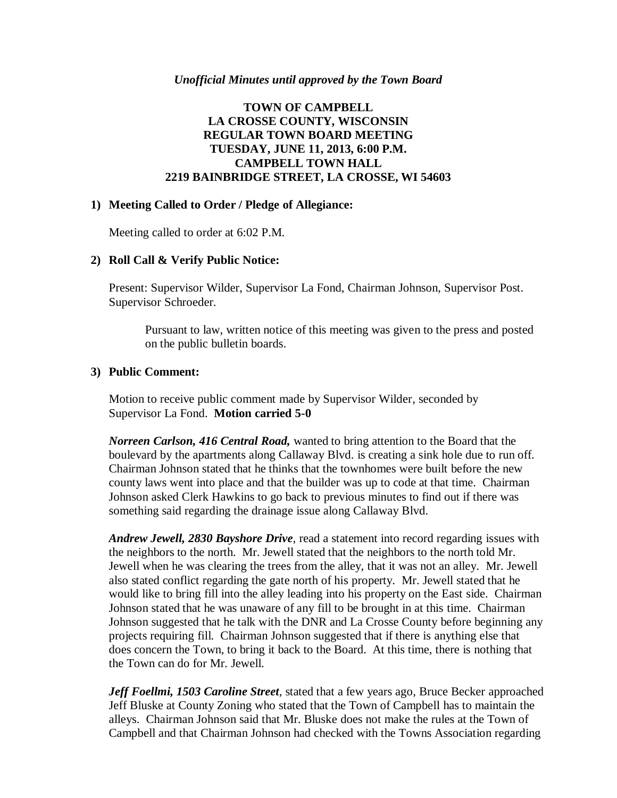### *Unofficial Minutes until approved by the Town Board*

## **TOWN OF CAMPBELL LA CROSSE COUNTY, WISCONSIN REGULAR TOWN BOARD MEETING TUESDAY, JUNE 11, 2013, 6:00 P.M. CAMPBELL TOWN HALL 2219 BAINBRIDGE STREET, LA CROSSE, WI 54603**

### **1) Meeting Called to Order / Pledge of Allegiance:**

Meeting called to order at 6:02 P.M.

### **2) Roll Call & Verify Public Notice:**

Present: Supervisor Wilder, Supervisor La Fond, Chairman Johnson, Supervisor Post. Supervisor Schroeder.

Pursuant to law, written notice of this meeting was given to the press and posted on the public bulletin boards.

### **3) Public Comment:**

Motion to receive public comment made by Supervisor Wilder, seconded by Supervisor La Fond. **Motion carried 5-0**

*Norreen Carlson, 416 Central Road,* wanted to bring attention to the Board that the boulevard by the apartments along Callaway Blvd. is creating a sink hole due to run off. Chairman Johnson stated that he thinks that the townhomes were built before the new county laws went into place and that the builder was up to code at that time. Chairman Johnson asked Clerk Hawkins to go back to previous minutes to find out if there was something said regarding the drainage issue along Callaway Blvd.

*Andrew Jewell, 2830 Bayshore Drive*, read a statement into record regarding issues with the neighbors to the north. Mr. Jewell stated that the neighbors to the north told Mr. Jewell when he was clearing the trees from the alley, that it was not an alley. Mr. Jewell also stated conflict regarding the gate north of his property. Mr. Jewell stated that he would like to bring fill into the alley leading into his property on the East side. Chairman Johnson stated that he was unaware of any fill to be brought in at this time. Chairman Johnson suggested that he talk with the DNR and La Crosse County before beginning any projects requiring fill. Chairman Johnson suggested that if there is anything else that does concern the Town, to bring it back to the Board. At this time, there is nothing that the Town can do for Mr. Jewell.

*Jeff Foellmi, 1503 Caroline Street*, stated that a few years ago, Bruce Becker approached Jeff Bluske at County Zoning who stated that the Town of Campbell has to maintain the alleys. Chairman Johnson said that Mr. Bluske does not make the rules at the Town of Campbell and that Chairman Johnson had checked with the Towns Association regarding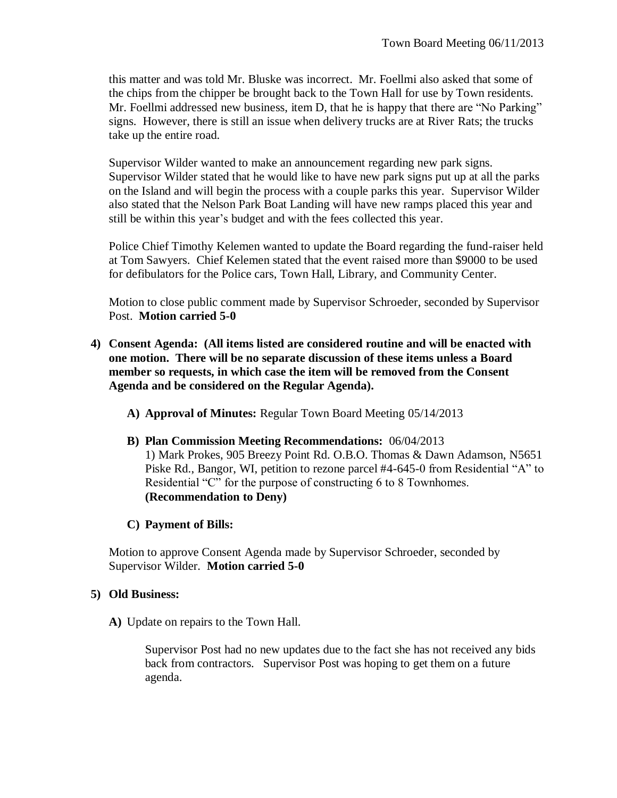this matter and was told Mr. Bluske was incorrect. Mr. Foellmi also asked that some of the chips from the chipper be brought back to the Town Hall for use by Town residents. Mr. Foellmi addressed new business, item D, that he is happy that there are "No Parking" signs. However, there is still an issue when delivery trucks are at River Rats; the trucks take up the entire road.

Supervisor Wilder wanted to make an announcement regarding new park signs. Supervisor Wilder stated that he would like to have new park signs put up at all the parks on the Island and will begin the process with a couple parks this year. Supervisor Wilder also stated that the Nelson Park Boat Landing will have new ramps placed this year and still be within this year's budget and with the fees collected this year.

Police Chief Timothy Kelemen wanted to update the Board regarding the fund-raiser held at Tom Sawyers. Chief Kelemen stated that the event raised more than \$9000 to be used for defibulators for the Police cars, Town Hall, Library, and Community Center.

Motion to close public comment made by Supervisor Schroeder, seconded by Supervisor Post. **Motion carried 5-0**

- **4) Consent Agenda: (All items listed are considered routine and will be enacted with one motion. There will be no separate discussion of these items unless a Board member so requests, in which case the item will be removed from the Consent Agenda and be considered on the Regular Agenda).**
	- **A) Approval of Minutes:** Regular Town Board Meeting 05/14/2013
	- **B) Plan Commission Meeting Recommendations:** 06/04/2013 1) Mark Prokes, 905 Breezy Point Rd. O.B.O. Thomas & Dawn Adamson, N5651 Piske Rd., Bangor, WI, petition to rezone parcel #4-645-0 from Residential "A" to Residential "C" for the purpose of constructing 6 to 8 Townhomes. **(Recommendation to Deny)**

# **C) Payment of Bills:**

Motion to approve Consent Agenda made by Supervisor Schroeder, seconded by Supervisor Wilder. **Motion carried 5-0**

# **5) Old Business:**

**A)** Update on repairs to the Town Hall.

Supervisor Post had no new updates due to the fact she has not received any bids back from contractors. Supervisor Post was hoping to get them on a future agenda.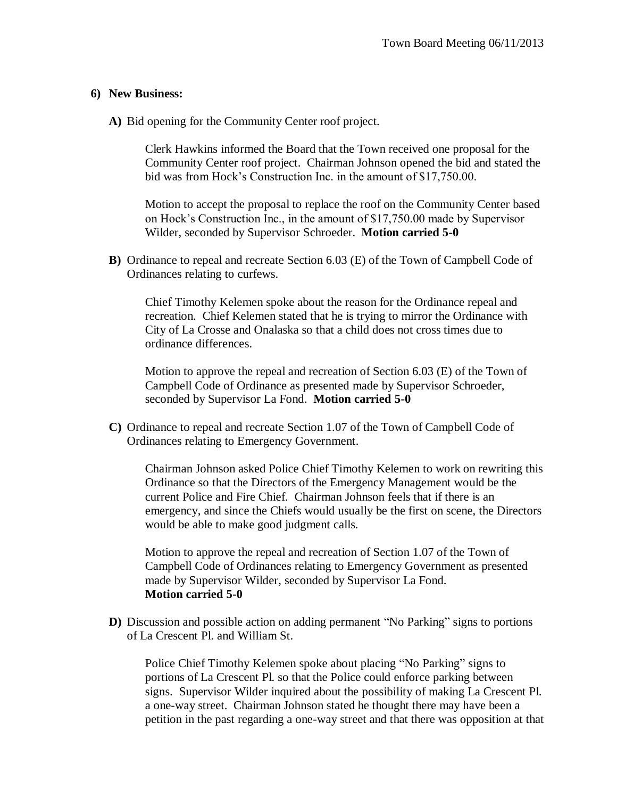#### **6) New Business:**

**A)** Bid opening for the Community Center roof project.

Clerk Hawkins informed the Board that the Town received one proposal for the Community Center roof project. Chairman Johnson opened the bid and stated the bid was from Hock's Construction Inc. in the amount of \$17,750.00.

Motion to accept the proposal to replace the roof on the Community Center based on Hock's Construction Inc., in the amount of \$17,750.00 made by Supervisor Wilder, seconded by Supervisor Schroeder. **Motion carried 5-0**

**B)** Ordinance to repeal and recreate Section 6.03 (E) of the Town of Campbell Code of Ordinances relating to curfews.

Chief Timothy Kelemen spoke about the reason for the Ordinance repeal and recreation. Chief Kelemen stated that he is trying to mirror the Ordinance with City of La Crosse and Onalaska so that a child does not cross times due to ordinance differences.

Motion to approve the repeal and recreation of Section 6.03 (E) of the Town of Campbell Code of Ordinance as presented made by Supervisor Schroeder, seconded by Supervisor La Fond. **Motion carried 5-0**

**C)** Ordinance to repeal and recreate Section 1.07 of the Town of Campbell Code of Ordinances relating to Emergency Government.

Chairman Johnson asked Police Chief Timothy Kelemen to work on rewriting this Ordinance so that the Directors of the Emergency Management would be the current Police and Fire Chief. Chairman Johnson feels that if there is an emergency, and since the Chiefs would usually be the first on scene, the Directors would be able to make good judgment calls.

Motion to approve the repeal and recreation of Section 1.07 of the Town of Campbell Code of Ordinances relating to Emergency Government as presented made by Supervisor Wilder, seconded by Supervisor La Fond. **Motion carried 5-0**

**D**) Discussion and possible action on adding permanent "No Parking" signs to portions of La Crescent Pl. and William St.

Police Chief Timothy Kelemen spoke about placing "No Parking" signs to portions of La Crescent Pl. so that the Police could enforce parking between signs. Supervisor Wilder inquired about the possibility of making La Crescent Pl. a one-way street. Chairman Johnson stated he thought there may have been a petition in the past regarding a one-way street and that there was opposition at that